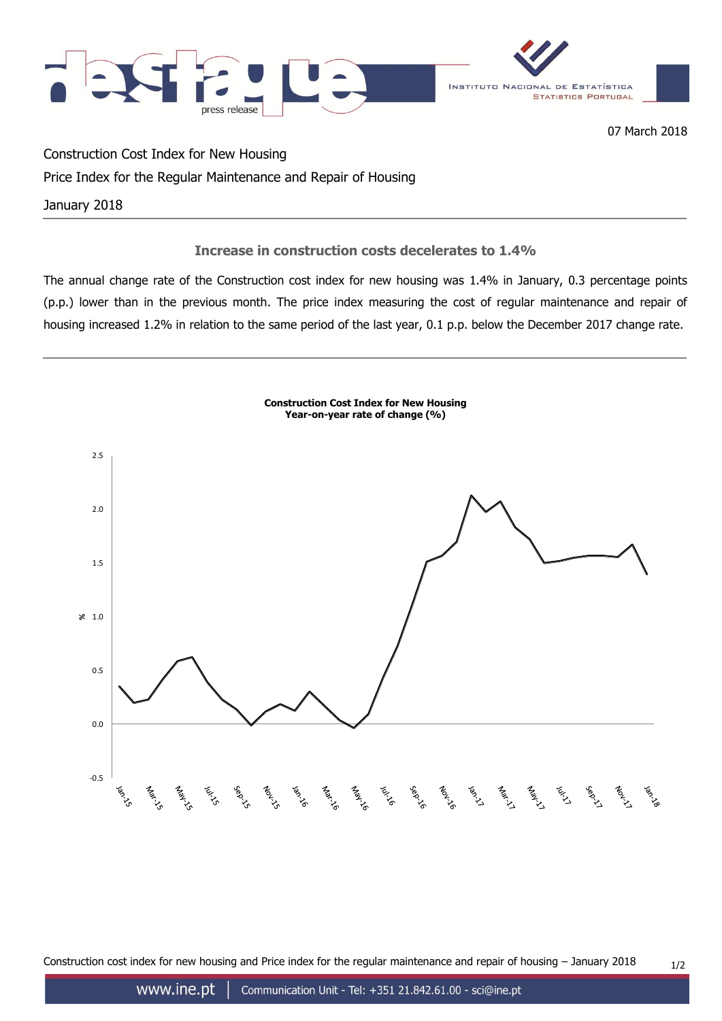

07 March 2018

Construction Cost Index for New Housing

# Price Index for the Regular Maintenance and Repair of Housing

January 2018

## **Increase in construction costs decelerates to 1.4%**

The annual change rate of the Construction cost index for new housing was 1.4% in January, 0.3 percentage points (p.p.) lower than in the previous month. The price index measuring the cost of regular maintenance and repair of housing increased 1.2% in relation to the same period of the last year, 0.1 p.p. below the December 2017 change rate.



Construction cost index for new housing and Price index for the regular maintenance and repair of housing  $-$  January 2018  $1/2$